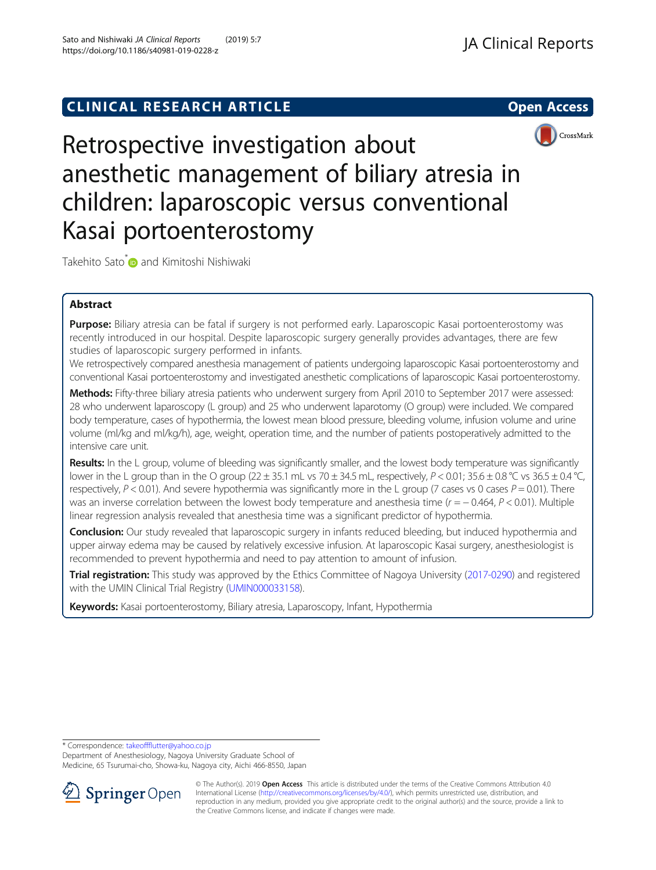# **CLINICAL RESEARCH ARTICLE CLINICAL RESEARCH ARTICLE**



Retrospective investigation about anesthetic management of biliary atresia in children: laparoscopic versus conventional Kasai portoenterostomy

Takehito Sato<sup>[\\*](http://orcid.org/0000-0001-5025-4250)</sup> and Kimitoshi Nishiwaki

# Abstract

Purpose: Biliary atresia can be fatal if surgery is not performed early. Laparoscopic Kasai portoenterostomy was recently introduced in our hospital. Despite laparoscopic surgery generally provides advantages, there are few studies of laparoscopic surgery performed in infants.

We retrospectively compared anesthesia management of patients undergoing laparoscopic Kasai portoenterostomy and conventional Kasai portoenterostomy and investigated anesthetic complications of laparoscopic Kasai portoenterostomy.

Methods: Fifty-three biliary atresia patients who underwent surgery from April 2010 to September 2017 were assessed: 28 who underwent laparoscopy (L group) and 25 who underwent laparotomy (O group) were included. We compared body temperature, cases of hypothermia, the lowest mean blood pressure, bleeding volume, infusion volume and urine volume (ml/kg and ml/kg/h), age, weight, operation time, and the number of patients postoperatively admitted to the intensive care unit.

Results: In the L group, volume of bleeding was significantly smaller, and the lowest body temperature was significantly lower in the L group than in the O group (22  $\pm$  35.1 mL vs 70  $\pm$  34.5 mL, respectively, P < 0.01; 35.6  $\pm$  0.8 °C vs 36.5  $\pm$  0.4 °C, respectively,  $P < 0.01$ ). And severe hypothermia was significantly more in the L group (7 cases vs 0 cases  $P = 0.01$ ). There was an inverse correlation between the lowest body temperature and anesthesia time ( $r = -0.464$ ,  $P < 0.01$ ). Multiple linear regression analysis revealed that anesthesia time was a significant predictor of hypothermia.

**Conclusion:** Our study revealed that laparoscopic surgery in infants reduced bleeding, but induced hypothermia and upper airway edema may be caused by relatively excessive infusion. At laparoscopic Kasai surgery, anesthesiologist is recommended to prevent hypothermia and need to pay attention to amount of infusion.

Trial registration: This study was approved by the Ethics Committee of Nagoya University [\(2017-0290\)](https://www.med.nagoya-u.ac.jp/medical_J/ethics/pdf/693_2017-0290.pdf) and registered with the UMIN Clinical Trial Registry ([UMIN000033158](https://upload.umin.ac.jp/cgi-open-bin/ctr_e/ctr_view.cgi?recptno=R000037813)).

Keywords: Kasai portoenterostomy, Biliary atresia, Laparoscopy, Infant, Hypothermia

\* Correspondence: [takeoffflutter@yahoo.co.jp](mailto:takeoffflutter@yahoo.co.jp)

Department of Anesthesiology, Nagoya University Graduate School of Medicine, 65 Tsurumai-cho, Showa-ku, Nagoya city, Aichi 466-8550, Japan



<sup>©</sup> The Author(s). 2019 Open Access This article is distributed under the terms of the Creative Commons Attribution 4.0 International License ([http://creativecommons.org/licenses/by/4.0/\)](http://creativecommons.org/licenses/by/4.0/), which permits unrestricted use, distribution, and reproduction in any medium, provided you give appropriate credit to the original author(s) and the source, provide a link to the Creative Commons license, and indicate if changes were made.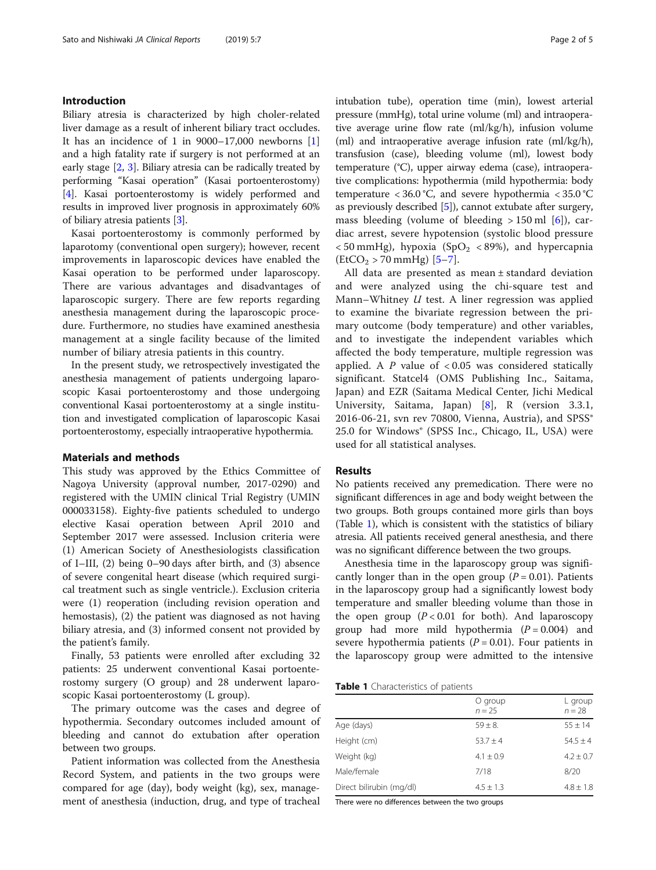# Introduction

Biliary atresia is characterized by high choler-related liver damage as a result of inherent biliary tract occludes. It has an incidence of 1 in  $9000-17,000$  newborns [\[1](#page-3-0)] and a high fatality rate if surgery is not performed at an early stage [[2,](#page-3-0) [3\]](#page-3-0). Biliary atresia can be radically treated by performing "Kasai operation" (Kasai portoenterostomy) [[4\]](#page-3-0). Kasai portoenterostomy is widely performed and results in improved liver prognosis in approximately 60% of biliary atresia patients [\[3](#page-3-0)].

Kasai portoenterostomy is commonly performed by laparotomy (conventional open surgery); however, recent improvements in laparoscopic devices have enabled the Kasai operation to be performed under laparoscopy. There are various advantages and disadvantages of laparoscopic surgery. There are few reports regarding anesthesia management during the laparoscopic procedure. Furthermore, no studies have examined anesthesia management at a single facility because of the limited number of biliary atresia patients in this country.

In the present study, we retrospectively investigated the anesthesia management of patients undergoing laparoscopic Kasai portoenterostomy and those undergoing conventional Kasai portoenterostomy at a single institution and investigated complication of laparoscopic Kasai portoenterostomy, especially intraoperative hypothermia.

## Materials and methods

This study was approved by the Ethics Committee of Nagoya University (approval number, 2017-0290) and registered with the UMIN clinical Trial Registry (UMIN 000033158). Eighty-five patients scheduled to undergo elective Kasai operation between April 2010 and September 2017 were assessed. Inclusion criteria were (1) American Society of Anesthesiologists classification of I–III, (2) being 0–90 days after birth, and (3) absence of severe congenital heart disease (which required surgical treatment such as single ventricle.). Exclusion criteria were (1) reoperation (including revision operation and hemostasis), (2) the patient was diagnosed as not having biliary atresia, and (3) informed consent not provided by the patient's family.

Finally, 53 patients were enrolled after excluding 32 patients: 25 underwent conventional Kasai portoenterostomy surgery (O group) and 28 underwent laparoscopic Kasai portoenterostomy (L group).

The primary outcome was the cases and degree of hypothermia. Secondary outcomes included amount of bleeding and cannot do extubation after operation between two groups.

Patient information was collected from the Anesthesia Record System, and patients in the two groups were compared for age (day), body weight (kg), sex, management of anesthesia (induction, drug, and type of tracheal intubation tube), operation time (min), lowest arterial pressure (mmHg), total urine volume (ml) and intraoperative average urine flow rate (ml/kg/h), infusion volume (ml) and intraoperative average infusion rate (ml/kg/h), transfusion (case), bleeding volume (ml), lowest body temperature (°C), upper airway edema (case), intraoperative complications: hypothermia (mild hypothermia: body temperature  $< 36.0$  °C, and severe hypothermia  $< 35.0$  °C as previously described [\[5\]](#page-3-0)), cannot extubate after surgery, mass bleeding (volume of bleeding  $> 150$  ml [[6](#page-3-0)]), cardiac arrest, severe hypotension (systolic blood pressure  $<$  50 mmHg), hypoxia (SpO<sub>2</sub>  $<$  89%), and hypercapnia  $(EtCO<sub>2</sub> > 70 mmHg)$  [[5](#page-3-0)-[7\]](#page-3-0).

All data are presented as mean ± standard deviation and were analyzed using the chi-square test and Mann–Whitney  $U$  test. A liner regression was applied to examine the bivariate regression between the primary outcome (body temperature) and other variables, and to investigate the independent variables which affected the body temperature, multiple regression was applied. A  $P$  value of  $< 0.05$  was considered statically significant. Statcel4 (OMS Publishing Inc., Saitama, Japan) and EZR (Saitama Medical Center, Jichi Medical University, Saitama, Japan) [[8](#page-3-0)], R (version 3.3.1, 2016-06-21, svn rev 70800, Vienna, Austria), and SPSS® 25.0 for Windows® (SPSS Inc., Chicago, IL, USA) were used for all statistical analyses.

# **Results**

No patients received any premedication. There were no significant differences in age and body weight between the two groups. Both groups contained more girls than boys (Table 1), which is consistent with the statistics of biliary atresia. All patients received general anesthesia, and there was no significant difference between the two groups.

Anesthesia time in the laparoscopy group was significantly longer than in the open group ( $P = 0.01$ ). Patients in the laparoscopy group had a significantly lowest body temperature and smaller bleeding volume than those in the open group  $(P < 0.01$  for both). And laparoscopy group had more mild hypothermia  $(P = 0.004)$  and severe hypothermia patients  $(P = 0.01)$ . Four patients in the laparoscopy group were admitted to the intensive

|  | Table 1 Characteristics of patients |  |
|--|-------------------------------------|--|
|--|-------------------------------------|--|

|                          | O group<br>$n = 25$ | L group<br>$n = 28$ |
|--------------------------|---------------------|---------------------|
| Age (days)               | $59 + 8$            | $55 \pm 14$         |
| Height (cm)              | $53.7 + 4$          | $54.5 + 4$          |
| Weight (kg)              | $4.1 + 0.9$         | $4.2 \pm 0.7$       |
| Male/female              | 7/18                | 8/20                |
| Direct bilirubin (mg/dl) | $4.5 \pm 1.3$       | $4.8 \pm 1.8$       |

There were no differences between the two groups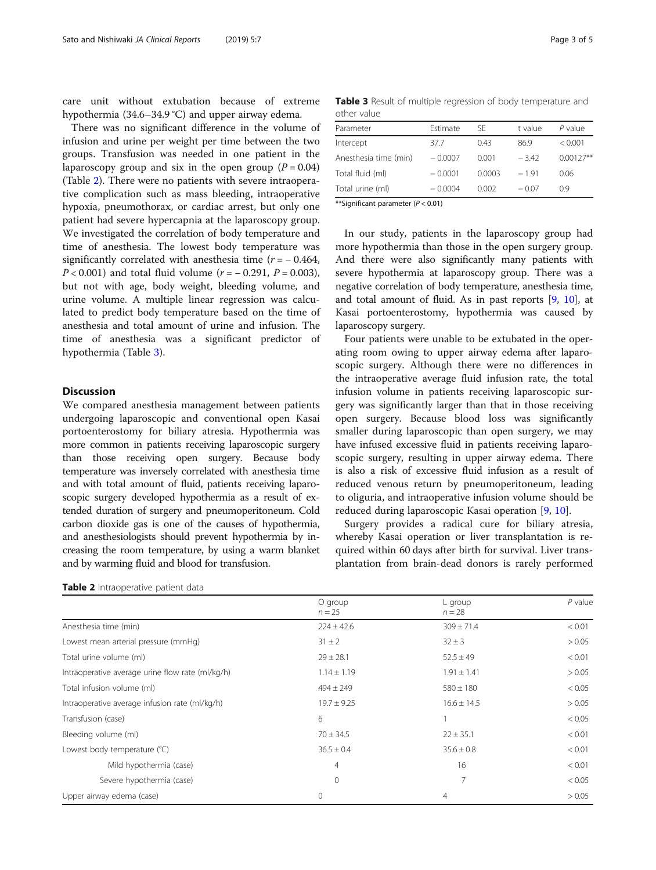care unit without extubation because of extreme hypothermia (34.6–34.9 °C) and upper airway edema.

There was no significant difference in the volume of infusion and urine per weight per time between the two groups. Transfusion was needed in one patient in the laparoscopy group and six in the open group ( $P = 0.04$ ) (Table 2). There were no patients with severe intraoperative complication such as mass bleeding, intraoperative hypoxia, pneumothorax, or cardiac arrest, but only one patient had severe hypercapnia at the laparoscopy group. We investigated the correlation of body temperature and time of anesthesia. The lowest body temperature was significantly correlated with anesthesia time  $(r = -0.464,$  $P < 0.001$ ) and total fluid volume ( $r = -0.291$ ,  $P = 0.003$ ), but not with age, body weight, bleeding volume, and urine volume. A multiple linear regression was calculated to predict body temperature based on the time of anesthesia and total amount of urine and infusion. The time of anesthesia was a significant predictor of hypothermia (Table 3).

# **Discussion**

We compared anesthesia management between patients undergoing laparoscopic and conventional open Kasai portoenterostomy for biliary atresia. Hypothermia was more common in patients receiving laparoscopic surgery than those receiving open surgery. Because body temperature was inversely correlated with anesthesia time and with total amount of fluid, patients receiving laparoscopic surgery developed hypothermia as a result of extended duration of surgery and pneumoperitoneum. Cold carbon dioxide gas is one of the causes of hypothermia, and anesthesiologists should prevent hypothermia by increasing the room temperature, by using a warm blanket and by warming fluid and blood for transfusion.

| Table 2 Intraoperative patient data |  |  |  |  |
|-------------------------------------|--|--|--|--|
|-------------------------------------|--|--|--|--|

| <b>ULLICI VAIUC</b>   |           |        |         |             |
|-----------------------|-----------|--------|---------|-------------|
| Parameter             | Estimate  | SF     | t value | $P$ value   |
| Intercept             | 37.7      | 0.43   | 86.9    | < 0.001     |
| Anesthesia time (min) | $-0.0007$ | 0.001  | $-342$  | $0.00127**$ |
| Total fluid (ml)      | $-0.0001$ | 0.0003 | $-191$  | 0.06        |
| Total urine (ml)      | $-0.0004$ | 0.002  | $-0.07$ | 09          |
|                       |           |        |         |             |

Table 3 Result of multiple regression of body temperature and

\*\*Significant parameter  $(P < 0.01)$ 

other value

In our study, patients in the laparoscopy group had more hypothermia than those in the open surgery group. And there were also significantly many patients with severe hypothermia at laparoscopy group. There was a negative correlation of body temperature, anesthesia time, and total amount of fluid. As in past reports [[9,](#page-3-0) [10\]](#page-3-0), at Kasai portoenterostomy, hypothermia was caused by laparoscopy surgery.

Four patients were unable to be extubated in the operating room owing to upper airway edema after laparoscopic surgery. Although there were no differences in the intraoperative average fluid infusion rate, the total infusion volume in patients receiving laparoscopic surgery was significantly larger than that in those receiving open surgery. Because blood loss was significantly smaller during laparoscopic than open surgery, we may have infused excessive fluid in patients receiving laparoscopic surgery, resulting in upper airway edema. There is also a risk of excessive fluid infusion as a result of reduced venous return by pneumoperitoneum, leading to oliguria, and intraoperative infusion volume should be reduced during laparoscopic Kasai operation [[9,](#page-3-0) [10\]](#page-3-0).

Surgery provides a radical cure for biliary atresia, whereby Kasai operation or liver transplantation is required within 60 days after birth for survival. Liver transplantation from brain-dead donors is rarely performed

|                                                  | O group<br>$n = 25$ | L group<br>$n = 28$ | $P$ value |
|--------------------------------------------------|---------------------|---------------------|-----------|
| Anesthesia time (min)                            | $224 \pm 42.6$      | $309 \pm 71.4$      | < 0.01    |
| Lowest mean arterial pressure (mmHg)             | $31 \pm 2$          | $32 \pm 3$          | > 0.05    |
| Total urine volume (ml)                          | $29 \pm 28.1$       | $52.5 \pm 49$       | < 0.01    |
| Intraoperative average urine flow rate (ml/kg/h) | $1.14 \pm 1.19$     | $1.91 \pm 1.41$     | > 0.05    |
| Total infusion volume (ml)                       | $494 \pm 249$       | $580 \pm 180$       | < 0.05    |
| Intraoperative average infusion rate (ml/kg/h)   | $19.7 \pm 9.25$     | $16.6 \pm 14.5$     | > 0.05    |
| Transfusion (case)                               | 6                   |                     | < 0.05    |
| Bleeding volume (ml)                             | $70 \pm 34.5$       | $22 \pm 35.1$       | < 0.01    |
| Lowest body temperature (°C)                     | $36.5 \pm 0.4$      | $35.6 \pm 0.8$      | < 0.01    |
| Mild hypothermia (case)                          | $\overline{4}$      | 16                  | < 0.01    |
| Severe hypothermia (case)                        | $\mathbf{0}$        | 7                   | < 0.05    |
| Upper airway edema (case)                        | $\mathbf{0}$        | 4                   | > 0.05    |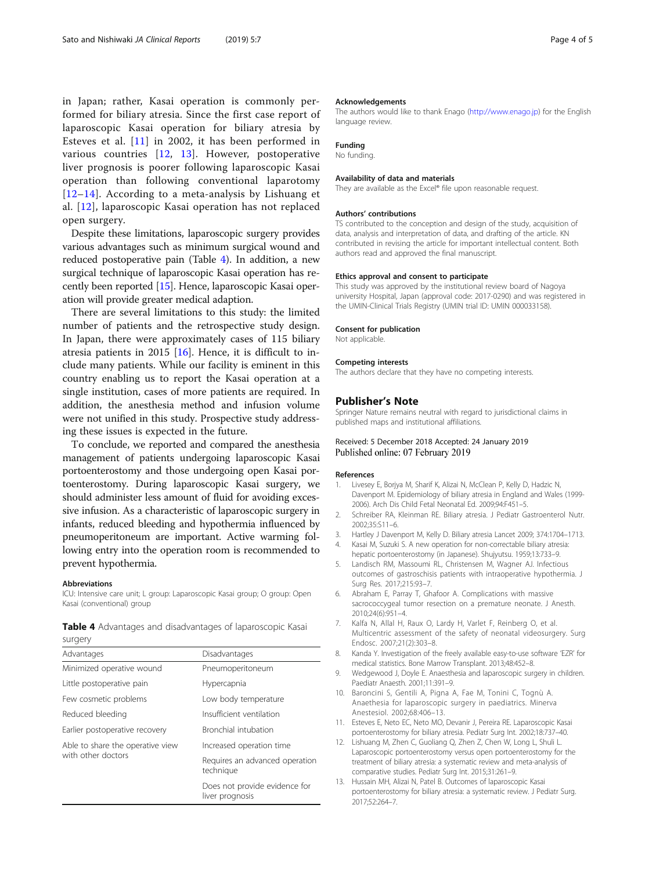<span id="page-3-0"></span>in Japan; rather, Kasai operation is commonly performed for biliary atresia. Since the first case report of laparoscopic Kasai operation for biliary atresia by Esteves et al. [11] in 2002, it has been performed in various countries [12, 13]. However, postoperative liver prognosis is poorer following laparoscopic Kasai operation than following conventional laparotomy  $[12–14]$  $[12–14]$ . According to a meta-analysis by Lishuang et al. [12], laparoscopic Kasai operation has not replaced open surgery.

Despite these limitations, laparoscopic surgery provides various advantages such as minimum surgical wound and reduced postoperative pain (Table 4). In addition, a new surgical technique of laparoscopic Kasai operation has recently been reported [[15](#page-4-0)]. Hence, laparoscopic Kasai operation will provide greater medical adaption.

There are several limitations to this study: the limited number of patients and the retrospective study design. In Japan, there were approximately cases of 115 biliary atresia patients in 2015 [\[16\]](#page-4-0). Hence, it is difficult to include many patients. While our facility is eminent in this country enabling us to report the Kasai operation at a single institution, cases of more patients are required. In addition, the anesthesia method and infusion volume were not unified in this study. Prospective study addressing these issues is expected in the future.

To conclude, we reported and compared the anesthesia management of patients undergoing laparoscopic Kasai portoenterostomy and those undergoing open Kasai portoenterostomy. During laparoscopic Kasai surgery, we should administer less amount of fluid for avoiding excessive infusion. As a characteristic of laparoscopic surgery in infants, reduced bleeding and hypothermia influenced by pneumoperitoneum are important. Active warming following entry into the operation room is recommended to prevent hypothermia.

#### Abbreviations

ICU: Intensive care unit; L group: Laparoscopic Kasai group; O group: Open Kasai (conventional) group

|         |  |  | <b>Table 4</b> Advantages and disadvantages of laparoscopic Kasai |  |
|---------|--|--|-------------------------------------------------------------------|--|
| surgery |  |  |                                                                   |  |

| Advantages                       | Disadvantages                                    |  |  |
|----------------------------------|--------------------------------------------------|--|--|
| Minimized operative wound        | Pneumoperitoneum                                 |  |  |
| Little postoperative pain        | Hypercapnia                                      |  |  |
| Few cosmetic problems            | Low body temperature                             |  |  |
| Reduced bleeding                 | Insufficient ventilation                         |  |  |
| Earlier postoperative recovery   | Bronchial intubation                             |  |  |
| Able to share the operative view | Increased operation time                         |  |  |
| with other doctors               | Requires an advanced operation<br>technique      |  |  |
|                                  | Does not provide evidence for<br>liver prognosis |  |  |

#### Acknowledgements

The authors would like to thank Enago ([http://www.enago.jp\)](http://www.enago.jp) for the English language review.

# Funding

No funding.

#### Availability of data and materials

They are available as the Excel® file upon reasonable request.

#### Authors' contributions

TS contributed to the conception and design of the study, acquisition of data, analysis and interpretation of data, and drafting of the article. KN contributed in revising the article for important intellectual content. Both authors read and approved the final manuscript.

#### Ethics approval and consent to participate

This study was approved by the institutional review board of Nagoya university Hospital, Japan (approval code: 2017-0290) and was registered in the UMIN-Clinical Trials Registry (UMIN trial ID: UMIN 000033158).

#### Consent for publication

Not applicable.

#### Competing interests

The authors declare that they have no competing interests.

## Publisher's Note

Springer Nature remains neutral with regard to jurisdictional claims in published maps and institutional affiliations.

## Received: 5 December 2018 Accepted: 24 January 2019 Published online: 07 February 2019

## References

- 1. Livesey E, Borjya M, Sharif K, Alizai N, McClean P, Kelly D, Hadzic N, Davenport M. Epidemiology of biliary atresia in England and Wales (1999- 2006). Arch Dis Child Fetal Neonatal Ed. 2009;94:F451–5.
- 2. Schreiber RA, Kleinman RE. Biliary atresia. J Pediatr Gastroenterol Nutr. 2002;35:S11–6.
- 3. Hartley J Davenport M, Kelly D. Biliary atresia Lancet 2009; 374:1704–1713.
- 4. Kasai M, Suzuki S. A new operation for non-correctable biliary atresia: hepatic portoenterostomy (in Japanese). Shujyutsu. 1959;13:733–9.
- 5. Landisch RM, Massoumi RL, Christensen M, Wagner AJ. Infectious outcomes of gastroschisis patients with intraoperative hypothermia. J Surg Res. 2017;215:93–7.
- 6. Abraham E, Parray T, Ghafoor A. Complications with massive sacrococcygeal tumor resection on a premature neonate. J Anesth. 2010;24(6):951–4.
- 7. Kalfa N, Allal H, Raux O, Lardy H, Varlet F, Reinberg O, et al. Multicentric assessment of the safety of neonatal videosurgery. Surg Endosc. 2007;21(2):303–8.
- 8. Kanda Y. Investigation of the freely available easy-to-use software 'EZR' for medical statistics. Bone Marrow Transplant. 2013;48:452–8.
- 9. Wedgewood J, Doyle E. Anaesthesia and laparoscopic surgery in children. Paediatr Anaesth. 2001;11:391–9.
- 10. Baroncini S, Gentili A, Pigna A, Fae M, Tonini C, Tognù A. Anaethesia for laparoscopic surgery in paediatrics. Minerva Anestesiol. 2002;68:406–13.
- 11. Esteves E, Neto EC, Neto MO, Devanir J, Pereira RE. Laparoscopic Kasai portoenterostomy for biliary atresia. Pediatr Surg Int. 2002;18:737–40.
- 12. Lishuang M, Zhen C, Guoliang Q, Zhen Z, Chen W, Long L, Shuli L. Laparoscopic portoenterostomy versus open portoenterostomy for the treatment of biliary atresia: a systematic review and meta-analysis of comparative studies. Pediatr Surg Int. 2015;31:261–9.
- 13. Hussain MH, Alizai N, Patel B. Outcomes of laparoscopic Kasai portoenterostomy for biliary atresia: a systematic review. J Pediatr Surg. 2017;52:264–7.